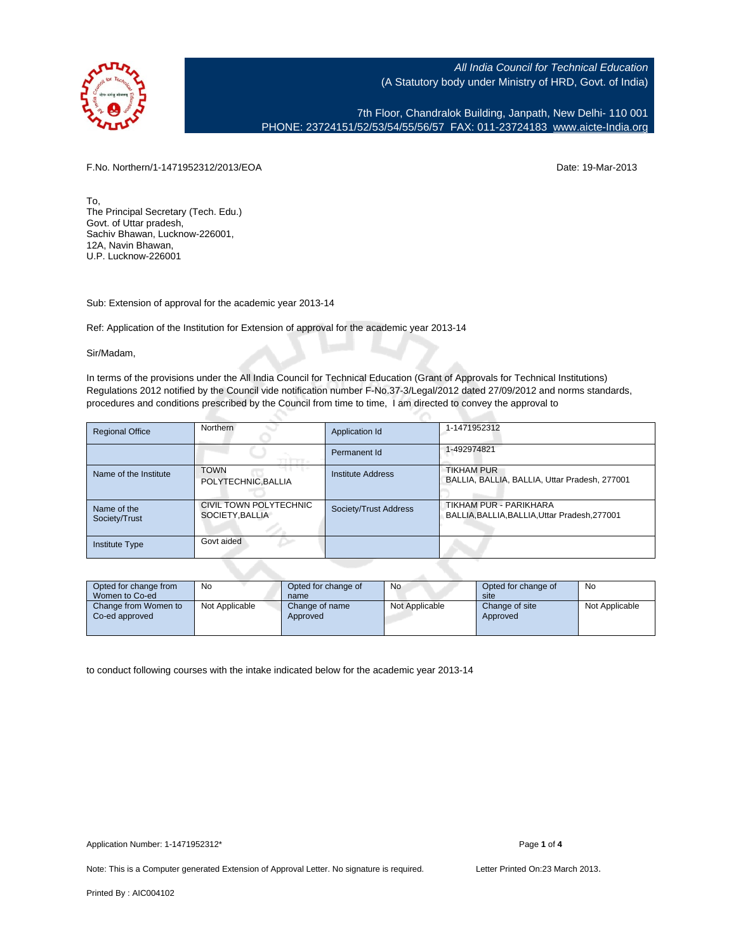

7th Floor, Chandralok Building, Janpath, New Delhi- 110 001 PHONE: 23724151/52/53/54/55/56/57 FAX: 011-23724183 [www.aicte-India.org](http://www.aicte-India.org)

F.No. Northern/1-1471952312/2013/EOA Date: 19-Mar-2013

To, The Principal Secretary (Tech. Edu.) Govt. of Uttar pradesh, Sachiv Bhawan, Lucknow-226001, 12A, Navin Bhawan, U.P. Lucknow-226001

Sub: Extension of approval for the academic year 2013-14

Ref: Application of the Institution for Extension of approval for the academic year 2013-14

Sir/Madam,

In terms of the provisions under the All India Council for Technical Education (Grant of Approvals for Technical Institutions) Regulations 2012 notified by the Council vide notification number F-No.37-3/Legal/2012 dated 27/09/2012 and norms standards, procedures and conditions prescribed by the Council from time to time, I am directed to convey the approval to

| <b>Regional Office</b>       | Northern                                  | Application Id           | 1-1471952312                                                            |
|------------------------------|-------------------------------------------|--------------------------|-------------------------------------------------------------------------|
|                              |                                           | Permanent Id             | 1-492974821                                                             |
| Name of the Institute        | <b>TOWN</b><br>POLYTECHNIC, BALLIA        | <b>Institute Address</b> | <b>TIKHAM PUR</b><br>BALLIA, BALLIA, BALLIA, Uttar Pradesh, 277001      |
| Name of the<br>Society/Trust | CIVIL TOWN POLYTECHNIC<br>SOCIETY, BALLIA | Society/Trust Address    | TIKHAM PUR - PARIKHARA<br>BALLIA, BALLIA, BALLIA, Uttar Pradesh, 277001 |
| Institute Type               | Govt aided                                |                          |                                                                         |

| Opted for change from<br>Women to Co-ed | No             | Opted for change of<br>name | <b>No</b>      | Opted for change of<br>site | No             |
|-----------------------------------------|----------------|-----------------------------|----------------|-----------------------------|----------------|
| Change from Women to<br>Co-ed approved  | Not Applicable | Change of name<br>Approved  | Not Applicable | Change of site<br>Approved  | Not Applicable |

to conduct following courses with the intake indicated below for the academic year 2013-14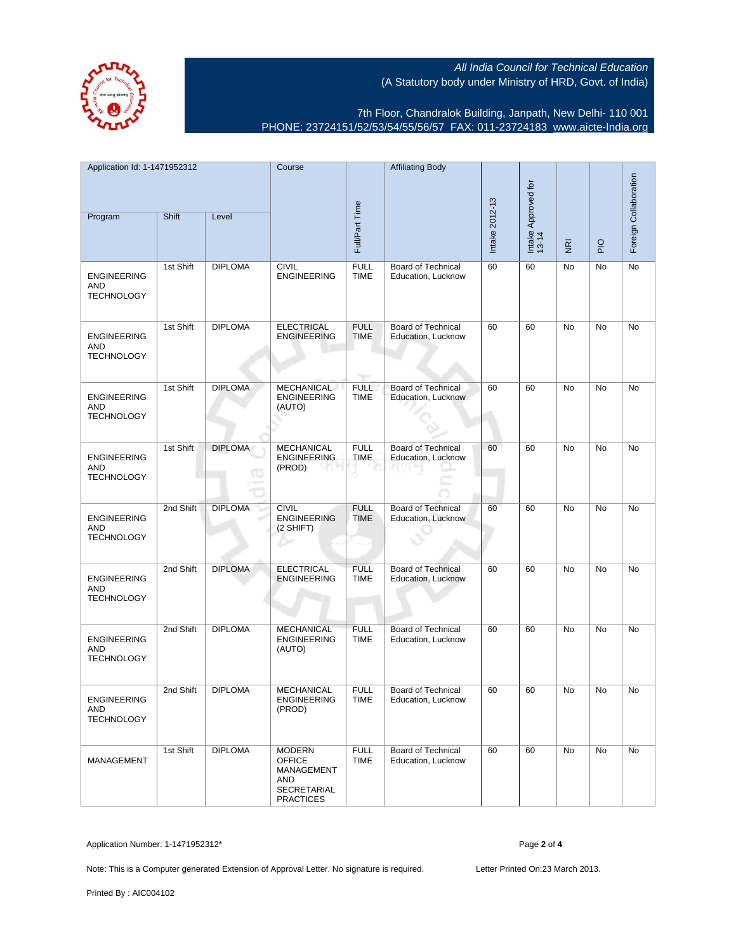

7th Floor, Chandralok Building, Janpath, New Delhi- 110 001 PHONE: 23724151/52/53/54/55/56/57 FAX: 011-23724183 [www.aicte-India.org](http://www.aicte-India.org)

| Application Id: 1-1471952312<br>Program               | Shift     | Level               | Course                                                                                        | Full/Part Time                    | <b>Affiliating Body</b>                         | Intake 2012-13 | Intake Approved for<br>13-14 |                                 |               | Foreign Collaboration |
|-------------------------------------------------------|-----------|---------------------|-----------------------------------------------------------------------------------------------|-----------------------------------|-------------------------------------------------|----------------|------------------------------|---------------------------------|---------------|-----------------------|
|                                                       |           |                     |                                                                                               |                                   |                                                 |                |                              | $\overline{\tilde{\mathbf{g}}}$ | $\frac{1}{2}$ |                       |
| <b>ENGINEERING</b><br><b>AND</b><br><b>TECHNOLOGY</b> | 1st Shift | <b>DIPLOMA</b>      | <b>CIVIL</b><br><b>ENGINEERING</b>                                                            | <b>FULL</b><br><b>TIME</b>        | <b>Board of Technical</b><br>Education, Lucknow | 60             | 60                           | No                              | No            | No                    |
| <b>ENGINEERING</b><br>AND<br><b>TECHNOLOGY</b>        | 1st Shift | <b>DIPLOMA</b>      | <b>ELECTRICAL</b><br><b>ENGINEERING</b>                                                       | <b>FULL</b><br><b>TIME</b><br>mp. | <b>Board of Technical</b><br>Education, Lucknow | 60             | 60                           | No                              | No            | No                    |
| <b>ENGINEERING</b><br>AND<br><b>TECHNOLOGY</b>        | 1st Shift | <b>DIPLOMA</b>      | <b>MECHANICAL</b><br><b>ENGINEERING</b><br>(AUTO)                                             | <b>FULL</b><br><b>TIME</b>        | <b>Board of Technical</b><br>Education, Lucknow | 60             | 60                           | No                              | No            | No                    |
| <b>ENGINEERING</b><br>AND<br><b>TECHNOLOGY</b>        | 1st Shift | <b>DIPLOMA</b><br>Œ | <b>MECHANICAL</b><br><b>ENGINEERING</b><br>(PROD)                                             | <b>FULL</b><br><b>TIME</b>        | <b>Board of Technical</b><br>Education, Lucknow | 60             | 60                           | No                              | No            | No                    |
| <b>ENGINEERING</b><br><b>AND</b><br><b>TECHNOLOGY</b> | 2nd Shift | <b>DIPLOMA</b>      | <b>CIVIL</b><br><b>ENGINEERING</b><br>$(2$ SHIFT)                                             | <b>FULL</b><br>TIME               | <b>Board of Technical</b><br>Education, Lucknow | 60             | 60                           | No                              | No            | No                    |
| <b>ENGINEERING</b><br>AND<br><b>TECHNOLOGY</b>        | 2nd Shift | <b>DIPLOMA</b>      | <b>ELECTRICAL</b><br><b>ENGINEERING</b>                                                       | <b>FULL</b><br><b>TIME</b>        | <b>Board of Technical</b><br>Education, Lucknow | 60             | 60                           | No                              | No            | No                    |
| <b>ENGINEERING</b><br>AND<br><b>TECHNOLOGY</b>        | 2nd Shift | <b>DIPLOMA</b>      | <b>MECHANICAL</b><br><b>ENGINEERING</b><br>(AUTO)                                             | <b>FULL</b><br><b>TIME</b>        | Board of Technical<br>Education, Lucknow        | 60             | 60                           | No                              | No            | No                    |
| <b>ENGINEERING</b><br><b>AND</b><br><b>TECHNOLOGY</b> | 2nd Shift | <b>DIPLOMA</b>      | <b>MECHANICAL</b><br><b>ENGINEERING</b><br>(PROD)                                             | <b>FULL</b><br><b>TIME</b>        | Board of Technical<br>Education, Lucknow        | 60             | 60                           | No                              | No            | No                    |
| <b>MANAGEMENT</b>                                     | 1st Shift | <b>DIPLOMA</b>      | <b>MODERN</b><br><b>OFFICE</b><br>MANAGEMENT<br>AND<br><b>SECRETARIAL</b><br><b>PRACTICES</b> | <b>FULL</b><br><b>TIME</b>        | Board of Technical<br>Education, Lucknow        | 60             | 60                           | No                              | No            | No                    |

Application Number: 1-1471952312\* Page **2** of **4**

Note: This is a Computer generated Extension of Approval Letter. No signature is required. Letter Printed On:23 March 2013.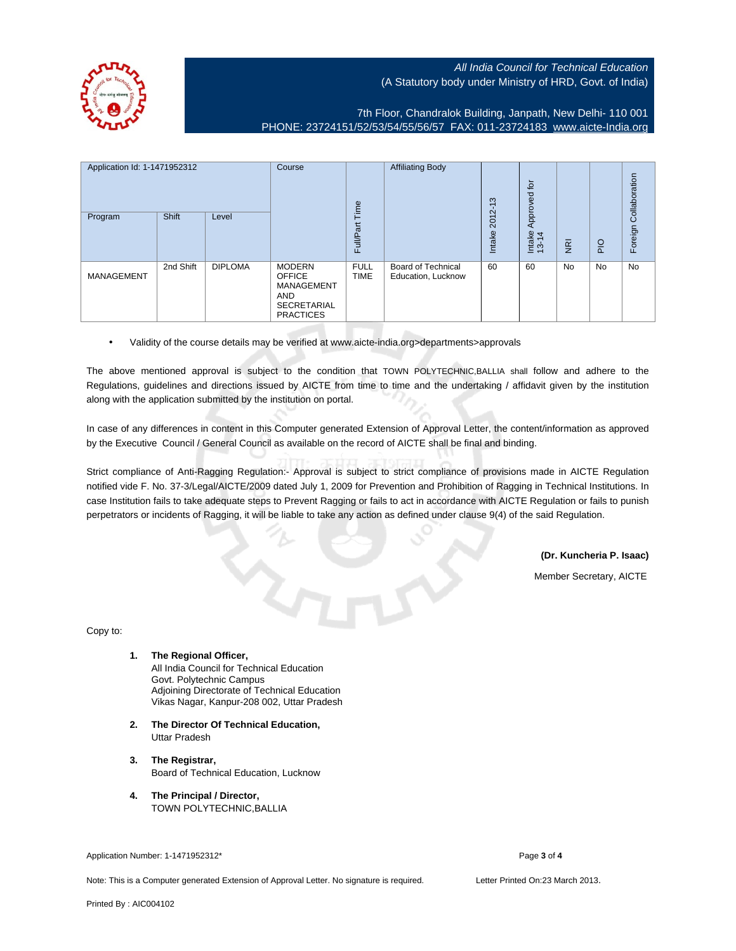7th Floor, Chandralok Building, Janpath, New Delhi- 110 001 PHONE: 23724151/52/53/54/55/56/57 FAX: 011-23724183 [www.aicte-India.org](http://www.aicte-India.org)

| Application Id: 1-1471952312 |           | Course         | Time                                                                                                 | <b>Affiliating Body</b>    | S<br>$\overline{\phantom{0}}$                   | $\overline{p}$<br>Approved |                 |                |                |                       |
|------------------------------|-----------|----------------|------------------------------------------------------------------------------------------------------|----------------------------|-------------------------------------------------|----------------------------|-----------------|----------------|----------------|-----------------------|
| Program                      | Shift     | Level          |                                                                                                      | Full/Part                  |                                                 | $2012 -$<br>Intake         | Intake<br>13-14 | $\overline{g}$ | $\overline{P}$ | Foreign Collaboration |
| <b>MANAGEMENT</b>            | 2nd Shift | <b>DIPLOMA</b> | <b>MODERN</b><br><b>OFFICE</b><br>MANAGEMENT<br><b>AND</b><br><b>SECRETARIAL</b><br><b>PRACTICES</b> | <b>FULL</b><br><b>TIME</b> | <b>Board of Technical</b><br>Education, Lucknow | 60                         | 60              | <b>No</b>      | No             | No                    |

• Validity of the course details may be verified at www.aicte-india.org>departments>approvals

The above mentioned approval is subject to the condition that TOWN POLYTECHNIC,BALLIA shall follow and adhere to the Regulations, guidelines and directions issued by AICTE from time to time and the undertaking / affidavit given by the institution along with the application submitted by the institution on portal.

In case of any differences in content in this Computer generated Extension of Approval Letter, the content/information as approved by the Executive Council / General Council as available on the record of AICTE shall be final and binding.

Strict compliance of Anti-Ragging Regulation:- Approval is subject to strict compliance of provisions made in AICTE Regulation notified vide F. No. 37-3/Legal/AICTE/2009 dated July 1, 2009 for Prevention and Prohibition of Ragging in Technical Institutions. In case Institution fails to take adequate steps to Prevent Ragging or fails to act in accordance with AICTE Regulation or fails to punish perpetrators or incidents of Ragging, it will be liable to take any action as defined under clause 9(4) of the said Regulation.

**(Dr. Kuncheria P. Isaac)**

Member Secretary, AICTE

Copy to:

**1. The Regional Officer,**

All India Council for Technical Education Govt. Polytechnic Campus Adjoining Directorate of Technical Education Vikas Nagar, Kanpur-208 002, Uttar Pradesh

- **2. The Director Of Technical Education,** Uttar Pradesh
- **3. The Registrar,** Board of Technical Education, Lucknow
- **4. The Principal / Director,** TOWN POLYTECHNIC,BALLIA

Application Number: 1-1471952312\* Page **3** of **4**

Note: This is a Computer generated Extension of Approval Letter. No signature is required. Letter Printed On:23 March 2013.